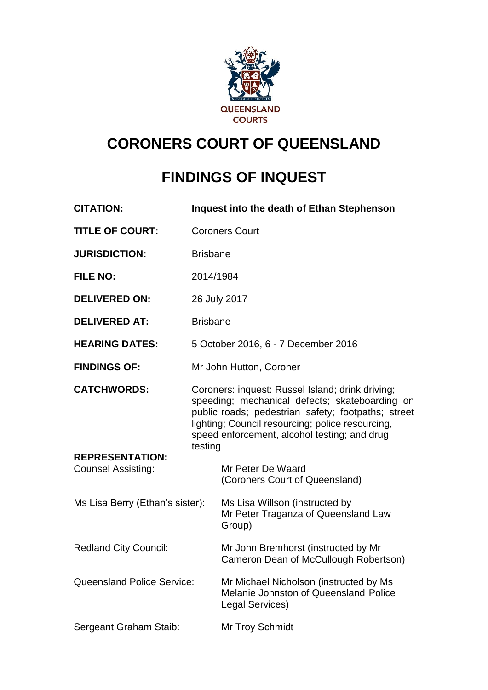

# **CORONERS COURT OF QUEENSLAND**

# **FINDINGS OF INQUEST**

| <b>CITATION:</b>                             |                                                                                                                                                                                                                                                                         | Inquest into the death of Ethan Stephenson                                                         |
|----------------------------------------------|-------------------------------------------------------------------------------------------------------------------------------------------------------------------------------------------------------------------------------------------------------------------------|----------------------------------------------------------------------------------------------------|
| <b>TITLE OF COURT:</b>                       | <b>Coroners Court</b>                                                                                                                                                                                                                                                   |                                                                                                    |
| <b>JURISDICTION:</b>                         | <b>Brisbane</b>                                                                                                                                                                                                                                                         |                                                                                                    |
| <b>FILE NO:</b>                              | 2014/1984                                                                                                                                                                                                                                                               |                                                                                                    |
| <b>DELIVERED ON:</b>                         | 26 July 2017                                                                                                                                                                                                                                                            |                                                                                                    |
| <b>DELIVERED AT:</b>                         | <b>Brisbane</b>                                                                                                                                                                                                                                                         |                                                                                                    |
| <b>HEARING DATES:</b>                        | 5 October 2016, 6 - 7 December 2016                                                                                                                                                                                                                                     |                                                                                                    |
| <b>FINDINGS OF:</b>                          | Mr John Hutton, Coroner                                                                                                                                                                                                                                                 |                                                                                                    |
| <b>CATCHWORDS:</b><br><b>REPRESENTATION:</b> | Coroners: inquest: Russel Island; drink driving;<br>speeding; mechanical defects; skateboarding on<br>public roads; pedestrian safety; footpaths; street<br>lighting; Council resourcing; police resourcing,<br>speed enforcement, alcohol testing; and drug<br>testing |                                                                                                    |
| <b>Counsel Assisting:</b>                    |                                                                                                                                                                                                                                                                         | Mr Peter De Waard<br>(Coroners Court of Queensland)                                                |
| Ms Lisa Berry (Ethan's sister):              |                                                                                                                                                                                                                                                                         | Ms Lisa Willson (instructed by<br>Mr Peter Traganza of Queensland Law<br>Group)                    |
| <b>Redland City Council:</b>                 |                                                                                                                                                                                                                                                                         | Mr John Bremhorst (instructed by Mr<br>Cameron Dean of McCullough Robertson)                       |
| <b>Queensland Police Service:</b>            |                                                                                                                                                                                                                                                                         | Mr Michael Nicholson (instructed by Ms<br>Melanie Johnston of Queensland Police<br>Legal Services) |
| Sergeant Graham Staib:                       |                                                                                                                                                                                                                                                                         | Mr Troy Schmidt                                                                                    |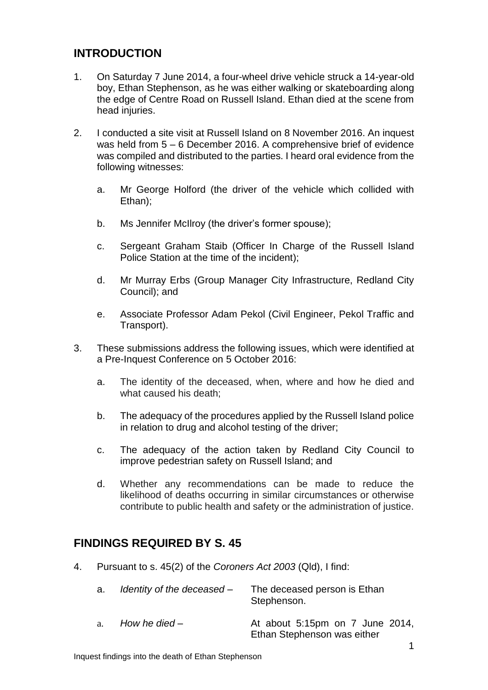# **INTRODUCTION**

- 1. On Saturday 7 June 2014, a four-wheel drive vehicle struck a 14-year-old boy, Ethan Stephenson, as he was either walking or skateboarding along the edge of Centre Road on Russell Island. Ethan died at the scene from head injuries.
- 2. I conducted a site visit at Russell Island on 8 November 2016. An inquest was held from 5 – 6 December 2016. A comprehensive brief of evidence was compiled and distributed to the parties. I heard oral evidence from the following witnesses:
	- a. Mr George Holford (the driver of the vehicle which collided with Ethan);
	- b. Ms Jennifer McIlroy (the driver's former spouse);
	- c. Sergeant Graham Staib (Officer In Charge of the Russell Island Police Station at the time of the incident);
	- d. Mr Murray Erbs (Group Manager City Infrastructure, Redland City Council); and
	- e. Associate Professor Adam Pekol (Civil Engineer, Pekol Traffic and Transport).
- 3. These submissions address the following issues, which were identified at a Pre-Inquest Conference on 5 October 2016:
	- a. The identity of the deceased, when, where and how he died and what caused his death;
	- b. The adequacy of the procedures applied by the Russell Island police in relation to drug and alcohol testing of the driver;
	- c. The adequacy of the action taken by Redland City Council to improve pedestrian safety on Russell Island; and
	- d. Whether any recommendations can be made to reduce the likelihood of deaths occurring in similar circumstances or otherwise contribute to public health and safety or the administration of justice.

# **FINDINGS REQUIRED BY S. 45**

4. Pursuant to s. 45(2) of the *Coroners Act 2003* (Qld), I find:

| a. Identity of the deceased – | The deceased person is Ethan<br>Stephenson.                    |
|-------------------------------|----------------------------------------------------------------|
| a. How he died –              | At about 5:15pm on 7 June 2014,<br>Ethan Stephenson was either |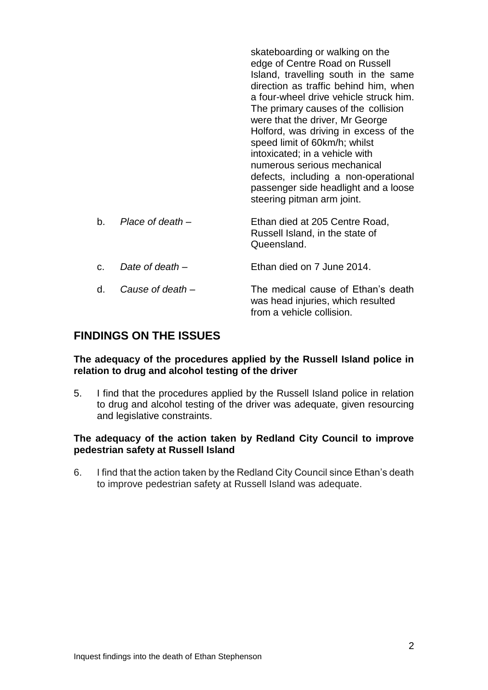|    |                  | skateboarding or walking on the<br>edge of Centre Road on Russell<br>Island, travelling south in the same<br>direction as traffic behind him, when<br>a four-wheel drive vehicle struck him.<br>The primary causes of the collision<br>were that the driver, Mr George<br>Holford, was driving in excess of the<br>speed limit of 60km/h; whilst<br>intoxicated; in a vehicle with<br>numerous serious mechanical<br>defects, including a non-operational<br>passenger side headlight and a loose<br>steering pitman arm joint. |
|----|------------------|---------------------------------------------------------------------------------------------------------------------------------------------------------------------------------------------------------------------------------------------------------------------------------------------------------------------------------------------------------------------------------------------------------------------------------------------------------------------------------------------------------------------------------|
| b. | Place of death – | Ethan died at 205 Centre Road,<br>Russell Island, in the state of<br>Queensland.                                                                                                                                                                                                                                                                                                                                                                                                                                                |
| C. | Date of death –  | Ethan died on 7 June 2014.                                                                                                                                                                                                                                                                                                                                                                                                                                                                                                      |
| d. | Cause of death - | The medical cause of Ethan's death<br>was head injuries, which resulted<br>from a vehicle collision.                                                                                                                                                                                                                                                                                                                                                                                                                            |

# **FINDINGS ON THE ISSUES**

#### **The adequacy of the procedures applied by the Russell Island police in relation to drug and alcohol testing of the driver**

5. I find that the procedures applied by the Russell Island police in relation to drug and alcohol testing of the driver was adequate, given resourcing and legislative constraints.

## **The adequacy of the action taken by Redland City Council to improve pedestrian safety at Russell Island**

6. I find that the action taken by the Redland City Council since Ethan's death to improve pedestrian safety at Russell Island was adequate.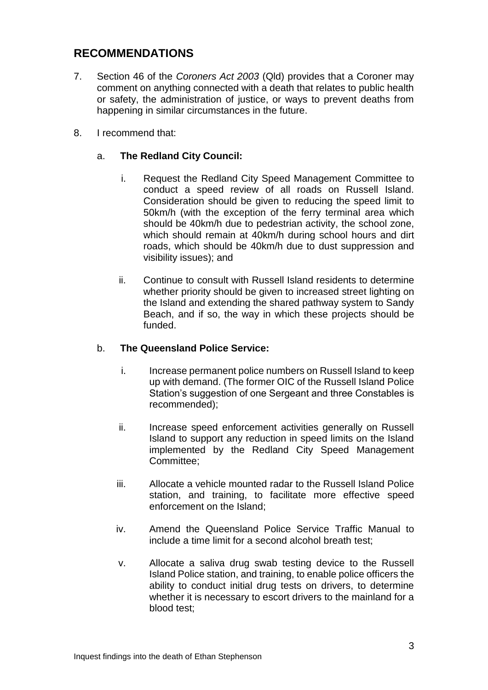# **RECOMMENDATIONS**

- 7. Section 46 of the *Coroners Act 2003* (Qld) provides that a Coroner may comment on anything connected with a death that relates to public health or safety, the administration of justice, or ways to prevent deaths from happening in similar circumstances in the future.
- 8. I recommend that:

# a. **The Redland City Council:**

- i. Request the Redland City Speed Management Committee to conduct a speed review of all roads on Russell Island. Consideration should be given to reducing the speed limit to 50km/h (with the exception of the ferry terminal area which should be 40km/h due to pedestrian activity, the school zone, which should remain at 40km/h during school hours and dirt roads, which should be 40km/h due to dust suppression and visibility issues); and
- ii. Continue to consult with Russell Island residents to determine whether priority should be given to increased street lighting on the Island and extending the shared pathway system to Sandy Beach, and if so, the way in which these projects should be funded.

## b. **The Queensland Police Service:**

- i. Increase permanent police numbers on Russell Island to keep up with demand. (The former OIC of the Russell Island Police Station's suggestion of one Sergeant and three Constables is recommended);
- ii. Increase speed enforcement activities generally on Russell Island to support any reduction in speed limits on the Island implemented by the Redland City Speed Management Committee;
- iii. Allocate a vehicle mounted radar to the Russell Island Police station, and training, to facilitate more effective speed enforcement on the Island;
- iv. Amend the Queensland Police Service Traffic Manual to include a time limit for a second alcohol breath test;
- v. Allocate a saliva drug swab testing device to the Russell Island Police station, and training, to enable police officers the ability to conduct initial drug tests on drivers, to determine whether it is necessary to escort drivers to the mainland for a blood test;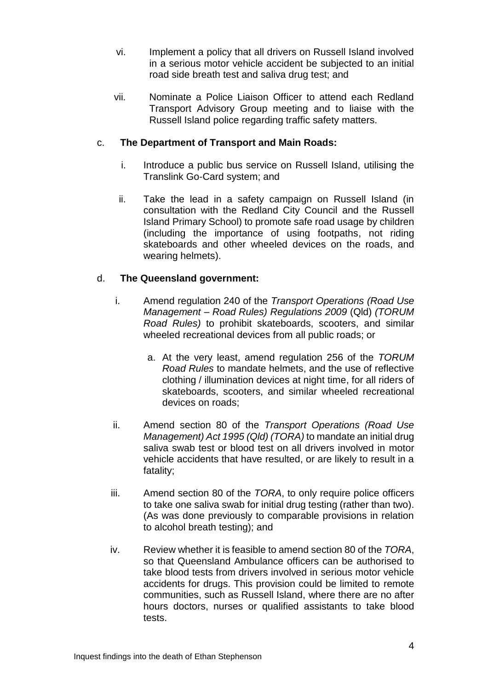- vi. Implement a policy that all drivers on Russell Island involved in a serious motor vehicle accident be subjected to an initial road side breath test and saliva drug test; and
- vii. Nominate a Police Liaison Officer to attend each Redland Transport Advisory Group meeting and to liaise with the Russell Island police regarding traffic safety matters.

# c. **The Department of Transport and Main Roads:**

- i. Introduce a public bus service on Russell Island, utilising the Translink Go-Card system; and
- ii. Take the lead in a safety campaign on Russell Island (in consultation with the Redland City Council and the Russell Island Primary School) to promote safe road usage by children (including the importance of using footpaths, not riding skateboards and other wheeled devices on the roads, and wearing helmets).

# d. **The Queensland government:**

- i. Amend regulation 240 of the *Transport Operations (Road Use Management – Road Rules) Regulations 2009* (Qld) *(TORUM Road Rules)* to prohibit skateboards, scooters, and similar wheeled recreational devices from all public roads; or
	- a. At the very least, amend regulation 256 of the *TORUM Road Rules* to mandate helmets, and the use of reflective clothing / illumination devices at night time, for all riders of skateboards, scooters, and similar wheeled recreational devices on roads;
- ii. Amend section 80 of the *Transport Operations (Road Use Management) Act 1995 (Qld) (TORA)* to mandate an initial drug saliva swab test or blood test on all drivers involved in motor vehicle accidents that have resulted, or are likely to result in a fatality;
- iii. Amend section 80 of the *TORA*, to only require police officers to take one saliva swab for initial drug testing (rather than two). (As was done previously to comparable provisions in relation to alcohol breath testing); and
- iv. Review whether it is feasible to amend section 80 of the *TORA*, so that Queensland Ambulance officers can be authorised to take blood tests from drivers involved in serious motor vehicle accidents for drugs. This provision could be limited to remote communities, such as Russell Island, where there are no after hours doctors, nurses or qualified assistants to take blood tests.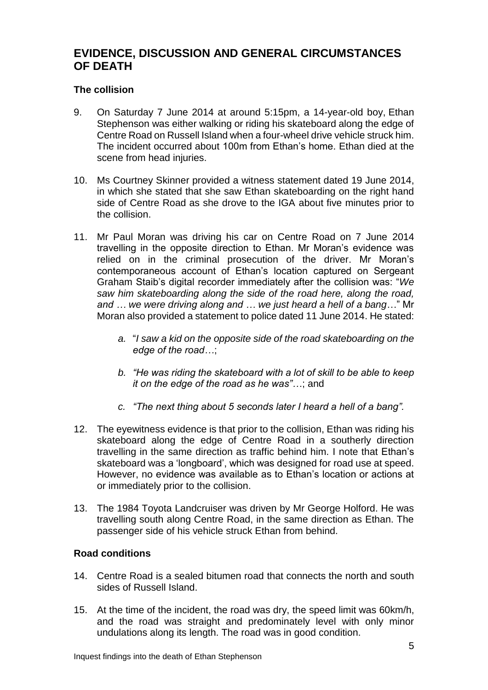# **EVIDENCE, DISCUSSION AND GENERAL CIRCUMSTANCES OF DEATH**

# **The collision**

- 9. On Saturday 7 June 2014 at around 5:15pm, a 14-year-old boy, Ethan Stephenson was either walking or riding his skateboard along the edge of Centre Road on Russell Island when a four-wheel drive vehicle struck him. The incident occurred about 100m from Ethan's home. Ethan died at the scene from head injuries.
- 10. Ms Courtney Skinner provided a witness statement dated 19 June 2014, in which she stated that she saw Ethan skateboarding on the right hand side of Centre Road as she drove to the IGA about five minutes prior to the collision.
- 11. Mr Paul Moran was driving his car on Centre Road on 7 June 2014 travelling in the opposite direction to Ethan. Mr Moran's evidence was relied on in the criminal prosecution of the driver. Mr Moran's contemporaneous account of Ethan's location captured on Sergeant Graham Staib's digital recorder immediately after the collision was: "*We saw him skateboarding along the side of the road here, along the road, and … we were driving along and … we just heard a hell of a bang*…" Mr Moran also provided a statement to police dated 11 June 2014. He stated:
	- *a.* "*I saw a kid on the opposite side of the road skateboarding on the edge of the road…*;
	- *b. "He was riding the skateboard with a lot of skill to be able to keep it on the edge of the road as he was"…*; and
	- *c. "The next thing about 5 seconds later I heard a hell of a bang".*
- 12. The eyewitness evidence is that prior to the collision, Ethan was riding his skateboard along the edge of Centre Road in a southerly direction travelling in the same direction as traffic behind him. I note that Ethan's skateboard was a 'longboard', which was designed for road use at speed. However, no evidence was available as to Ethan's location or actions at or immediately prior to the collision.
- 13. The 1984 Toyota Landcruiser was driven by Mr George Holford. He was travelling south along Centre Road, in the same direction as Ethan. The passenger side of his vehicle struck Ethan from behind.

## **Road conditions**

- 14. Centre Road is a sealed bitumen road that connects the north and south sides of Russell Island.
- 15. At the time of the incident, the road was dry, the speed limit was 60km/h, and the road was straight and predominately level with only minor undulations along its length. The road was in good condition.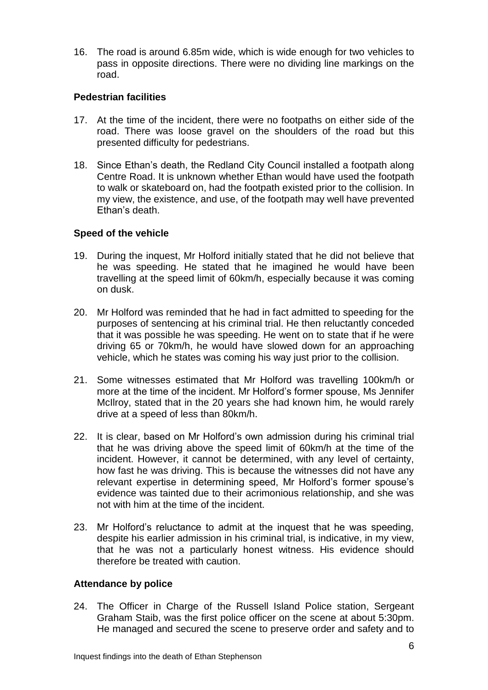16. The road is around 6.85m wide, which is wide enough for two vehicles to pass in opposite directions. There were no dividing line markings on the road.

## **Pedestrian facilities**

- 17. At the time of the incident, there were no footpaths on either side of the road. There was loose gravel on the shoulders of the road but this presented difficulty for pedestrians.
- 18. Since Ethan's death, the Redland City Council installed a footpath along Centre Road. It is unknown whether Ethan would have used the footpath to walk or skateboard on, had the footpath existed prior to the collision. In my view, the existence, and use, of the footpath may well have prevented Ethan's death.

#### **Speed of the vehicle**

- 19. During the inquest, Mr Holford initially stated that he did not believe that he was speeding. He stated that he imagined he would have been travelling at the speed limit of 60km/h, especially because it was coming on dusk.
- 20. Mr Holford was reminded that he had in fact admitted to speeding for the purposes of sentencing at his criminal trial. He then reluctantly conceded that it was possible he was speeding. He went on to state that if he were driving 65 or 70km/h, he would have slowed down for an approaching vehicle, which he states was coming his way just prior to the collision.
- 21. Some witnesses estimated that Mr Holford was travelling 100km/h or more at the time of the incident. Mr Holford's former spouse, Ms Jennifer McIlroy, stated that in the 20 years she had known him, he would rarely drive at a speed of less than 80km/h.
- 22. It is clear, based on Mr Holford's own admission during his criminal trial that he was driving above the speed limit of 60km/h at the time of the incident. However, it cannot be determined, with any level of certainty, how fast he was driving. This is because the witnesses did not have any relevant expertise in determining speed, Mr Holford's former spouse's evidence was tainted due to their acrimonious relationship, and she was not with him at the time of the incident.
- 23. Mr Holford's reluctance to admit at the inquest that he was speeding, despite his earlier admission in his criminal trial, is indicative, in my view, that he was not a particularly honest witness. His evidence should therefore be treated with caution.

#### **Attendance by police**

24. The Officer in Charge of the Russell Island Police station, Sergeant Graham Staib, was the first police officer on the scene at about 5:30pm. He managed and secured the scene to preserve order and safety and to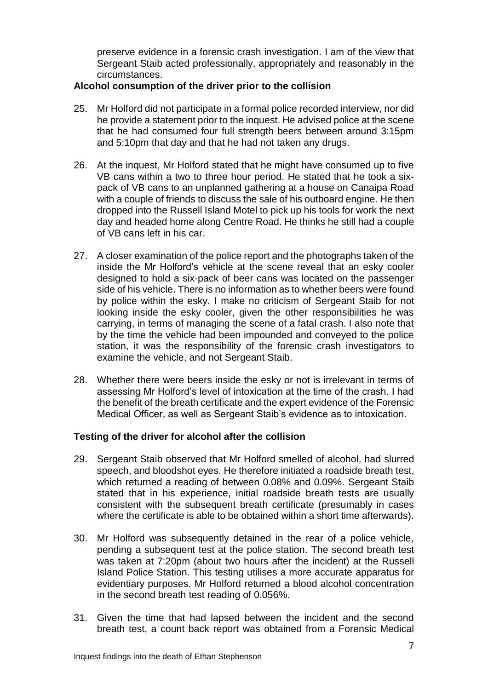preserve evidence in a forensic crash investigation. I am of the view that Sergeant Staib acted professionally, appropriately and reasonably in the circumstances.

## **Alcohol consumption of the driver prior to the collision**

- 25. Mr Holford did not participate in a formal police recorded interview, nor did he provide a statement prior to the inquest. He advised police at the scene that he had consumed four full strength beers between around 3:15pm and 5:10pm that day and that he had not taken any drugs.
- 26. At the inquest, Mr Holford stated that he might have consumed up to five VB cans within a two to three hour period. He stated that he took a sixpack of VB cans to an unplanned gathering at a house on Canaipa Road with a couple of friends to discuss the sale of his outboard engine. He then dropped into the Russell Island Motel to pick up his tools for work the next day and headed home along Centre Road. He thinks he still had a couple of VB cans left in his car.
- 27. A closer examination of the police report and the photographs taken of the inside the Mr Holford's vehicle at the scene reveal that an esky cooler designed to hold a six-pack of beer cans was located on the passenger side of his vehicle. There is no information as to whether beers were found by police within the esky. I make no criticism of Sergeant Staib for not looking inside the esky cooler, given the other responsibilities he was carrying, in terms of managing the scene of a fatal crash. I also note that by the time the vehicle had been impounded and conveyed to the police station, it was the responsibility of the forensic crash investigators to examine the vehicle, and not Sergeant Staib.
- 28. Whether there were beers inside the esky or not is irrelevant in terms of assessing Mr Holford's level of intoxication at the time of the crash. I had the benefit of the breath certificate and the expert evidence of the Forensic Medical Officer, as well as Sergeant Staib's evidence as to intoxication.

# **Testing of the driver for alcohol after the collision**

- 29. Sergeant Staib observed that Mr Holford smelled of alcohol, had slurred speech, and bloodshot eyes. He therefore initiated a roadside breath test, which returned a reading of between 0.08% and 0.09%. Sergeant Staib stated that in his experience, initial roadside breath tests are usually consistent with the subsequent breath certificate (presumably in cases where the certificate is able to be obtained within a short time afterwards).
- 30. Mr Holford was subsequently detained in the rear of a police vehicle, pending a subsequent test at the police station. The second breath test was taken at 7:20pm (about two hours after the incident) at the Russell Island Police Station. This testing utilises a more accurate apparatus for evidentiary purposes. Mr Holford returned a blood alcohol concentration in the second breath test reading of 0.056%.
- 31. Given the time that had lapsed between the incident and the second breath test, a count back report was obtained from a Forensic Medical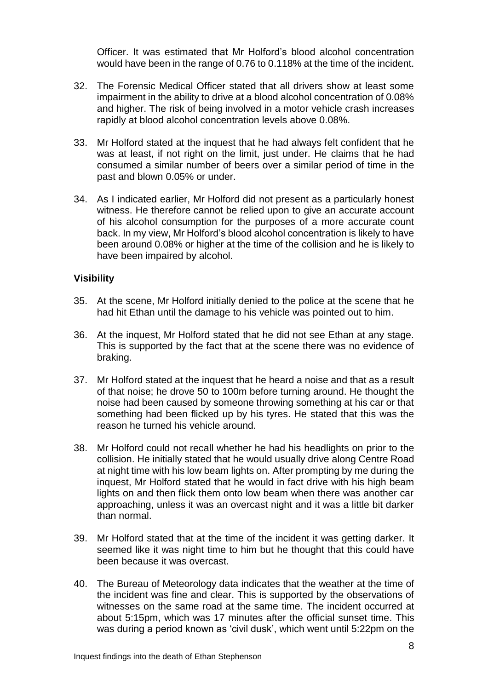Officer. It was estimated that Mr Holford's blood alcohol concentration would have been in the range of 0.76 to 0.118% at the time of the incident.

- 32. The Forensic Medical Officer stated that all drivers show at least some impairment in the ability to drive at a blood alcohol concentration of 0.08% and higher. The risk of being involved in a motor vehicle crash increases rapidly at blood alcohol concentration levels above 0.08%.
- 33. Mr Holford stated at the inquest that he had always felt confident that he was at least, if not right on the limit, just under. He claims that he had consumed a similar number of beers over a similar period of time in the past and blown 0.05% or under.
- 34. As I indicated earlier, Mr Holford did not present as a particularly honest witness. He therefore cannot be relied upon to give an accurate account of his alcohol consumption for the purposes of a more accurate count back. In my view, Mr Holford's blood alcohol concentration is likely to have been around 0.08% or higher at the time of the collision and he is likely to have been impaired by alcohol.

## **Visibility**

- 35. At the scene, Mr Holford initially denied to the police at the scene that he had hit Ethan until the damage to his vehicle was pointed out to him.
- 36. At the inquest, Mr Holford stated that he did not see Ethan at any stage. This is supported by the fact that at the scene there was no evidence of braking.
- 37. Mr Holford stated at the inquest that he heard a noise and that as a result of that noise; he drove 50 to 100m before turning around. He thought the noise had been caused by someone throwing something at his car or that something had been flicked up by his tyres. He stated that this was the reason he turned his vehicle around.
- 38. Mr Holford could not recall whether he had his headlights on prior to the collision. He initially stated that he would usually drive along Centre Road at night time with his low beam lights on. After prompting by me during the inquest, Mr Holford stated that he would in fact drive with his high beam lights on and then flick them onto low beam when there was another car approaching, unless it was an overcast night and it was a little bit darker than normal.
- 39. Mr Holford stated that at the time of the incident it was getting darker. It seemed like it was night time to him but he thought that this could have been because it was overcast.
- 40. The Bureau of Meteorology data indicates that the weather at the time of the incident was fine and clear. This is supported by the observations of witnesses on the same road at the same time. The incident occurred at about 5:15pm, which was 17 minutes after the official sunset time. This was during a period known as 'civil dusk', which went until 5:22pm on the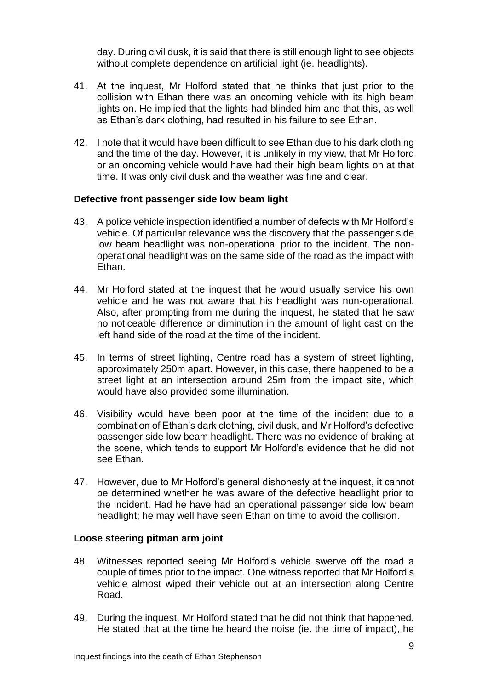day. During civil dusk, it is said that there is still enough light to see objects without complete dependence on artificial light (ie. headlights).

- 41. At the inquest, Mr Holford stated that he thinks that just prior to the collision with Ethan there was an oncoming vehicle with its high beam lights on. He implied that the lights had blinded him and that this, as well as Ethan's dark clothing, had resulted in his failure to see Ethan.
- 42. I note that it would have been difficult to see Ethan due to his dark clothing and the time of the day. However, it is unlikely in my view, that Mr Holford or an oncoming vehicle would have had their high beam lights on at that time. It was only civil dusk and the weather was fine and clear.

## **Defective front passenger side low beam light**

- 43. A police vehicle inspection identified a number of defects with Mr Holford's vehicle. Of particular relevance was the discovery that the passenger side low beam headlight was non-operational prior to the incident. The nonoperational headlight was on the same side of the road as the impact with Ethan.
- 44. Mr Holford stated at the inquest that he would usually service his own vehicle and he was not aware that his headlight was non-operational. Also, after prompting from me during the inquest, he stated that he saw no noticeable difference or diminution in the amount of light cast on the left hand side of the road at the time of the incident.
- 45. In terms of street lighting, Centre road has a system of street lighting, approximately 250m apart. However, in this case, there happened to be a street light at an intersection around 25m from the impact site, which would have also provided some illumination.
- 46. Visibility would have been poor at the time of the incident due to a combination of Ethan's dark clothing, civil dusk, and Mr Holford's defective passenger side low beam headlight. There was no evidence of braking at the scene, which tends to support Mr Holford's evidence that he did not see Ethan.
- 47. However, due to Mr Holford's general dishonesty at the inquest, it cannot be determined whether he was aware of the defective headlight prior to the incident. Had he have had an operational passenger side low beam headlight; he may well have seen Ethan on time to avoid the collision.

## **Loose steering pitman arm joint**

- 48. Witnesses reported seeing Mr Holford's vehicle swerve off the road a couple of times prior to the impact. One witness reported that Mr Holford's vehicle almost wiped their vehicle out at an intersection along Centre Road.
- 49. During the inquest, Mr Holford stated that he did not think that happened. He stated that at the time he heard the noise (ie. the time of impact), he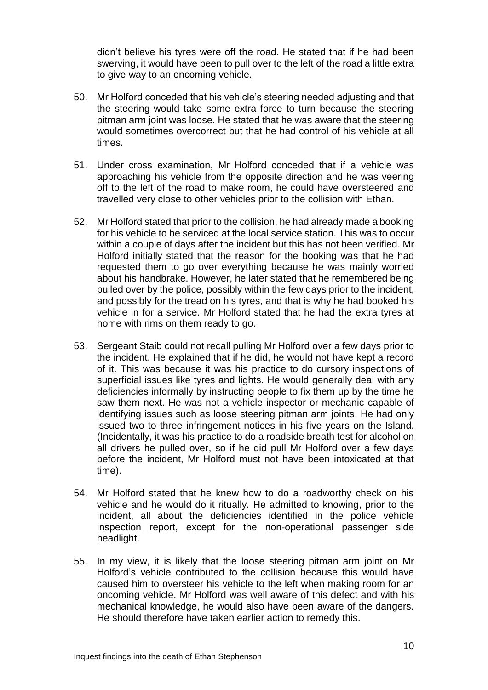didn't believe his tyres were off the road. He stated that if he had been swerving, it would have been to pull over to the left of the road a little extra to give way to an oncoming vehicle.

- 50. Mr Holford conceded that his vehicle's steering needed adjusting and that the steering would take some extra force to turn because the steering pitman arm joint was loose. He stated that he was aware that the steering would sometimes overcorrect but that he had control of his vehicle at all times.
- 51. Under cross examination, Mr Holford conceded that if a vehicle was approaching his vehicle from the opposite direction and he was veering off to the left of the road to make room, he could have oversteered and travelled very close to other vehicles prior to the collision with Ethan.
- 52. Mr Holford stated that prior to the collision, he had already made a booking for his vehicle to be serviced at the local service station. This was to occur within a couple of days after the incident but this has not been verified. Mr Holford initially stated that the reason for the booking was that he had requested them to go over everything because he was mainly worried about his handbrake. However, he later stated that he remembered being pulled over by the police, possibly within the few days prior to the incident, and possibly for the tread on his tyres, and that is why he had booked his vehicle in for a service. Mr Holford stated that he had the extra tyres at home with rims on them ready to go.
- 53. Sergeant Staib could not recall pulling Mr Holford over a few days prior to the incident. He explained that if he did, he would not have kept a record of it. This was because it was his practice to do cursory inspections of superficial issues like tyres and lights. He would generally deal with any deficiencies informally by instructing people to fix them up by the time he saw them next. He was not a vehicle inspector or mechanic capable of identifying issues such as loose steering pitman arm joints. He had only issued two to three infringement notices in his five years on the Island. (Incidentally, it was his practice to do a roadside breath test for alcohol on all drivers he pulled over, so if he did pull Mr Holford over a few days before the incident, Mr Holford must not have been intoxicated at that time).
- 54. Mr Holford stated that he knew how to do a roadworthy check on his vehicle and he would do it ritually. He admitted to knowing, prior to the incident, all about the deficiencies identified in the police vehicle inspection report, except for the non-operational passenger side headlight.
- 55. In my view, it is likely that the loose steering pitman arm joint on Mr Holford's vehicle contributed to the collision because this would have caused him to oversteer his vehicle to the left when making room for an oncoming vehicle. Mr Holford was well aware of this defect and with his mechanical knowledge, he would also have been aware of the dangers. He should therefore have taken earlier action to remedy this.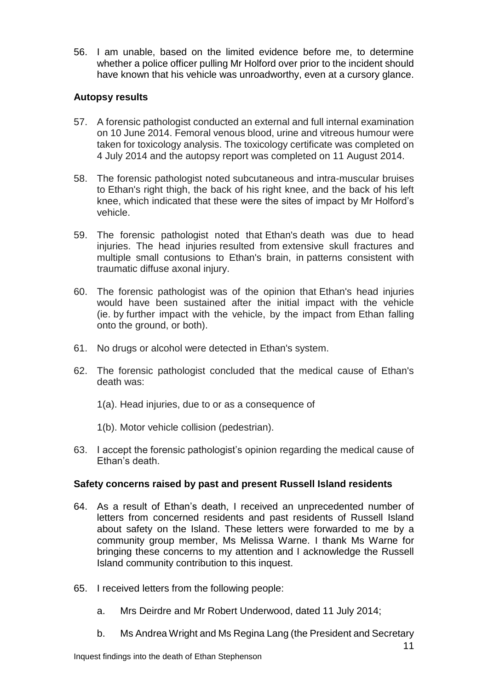56. I am unable, based on the limited evidence before me, to determine whether a police officer pulling Mr Holford over prior to the incident should have known that his vehicle was unroadworthy, even at a cursory glance.

# **Autopsy results**

- 57. A forensic pathologist conducted an external and full internal examination on 10 June 2014. Femoral venous blood, urine and vitreous humour were taken for toxicology analysis. The toxicology certificate was completed on 4 July 2014 and the autopsy report was completed on 11 August 2014.
- 58. The forensic pathologist noted subcutaneous and intra-muscular bruises to Ethan's right thigh, the back of his right knee, and the back of his left knee, which indicated that these were the sites of impact by Mr Holford's vehicle.
- 59. The forensic pathologist noted that Ethan's death was due to head injuries. The head injuries resulted from extensive skull fractures and multiple small contusions to Ethan's brain, in patterns consistent with traumatic diffuse axonal injury.
- 60. The forensic pathologist was of the opinion that Ethan's head injuries would have been sustained after the initial impact with the vehicle (ie. by further impact with the vehicle, by the impact from Ethan falling onto the ground, or both).
- 61. No drugs or alcohol were detected in Ethan's system.
- 62. The forensic pathologist concluded that the medical cause of Ethan's death was:
	- 1(a). Head injuries, due to or as a consequence of
	- 1(b). Motor vehicle collision (pedestrian).
- 63. I accept the forensic pathologist's opinion regarding the medical cause of Ethan's death.

## **Safety concerns raised by past and present Russell Island residents**

- 64. As a result of Ethan's death, I received an unprecedented number of letters from concerned residents and past residents of Russell Island about safety on the Island. These letters were forwarded to me by a community group member, Ms Melissa Warne. I thank Ms Warne for bringing these concerns to my attention and I acknowledge the Russell Island community contribution to this inquest.
- 65. I received letters from the following people:
	- a. Mrs Deirdre and Mr Robert Underwood, dated 11 July 2014;
	- b. Ms Andrea Wright and Ms Regina Lang (the President and Secretary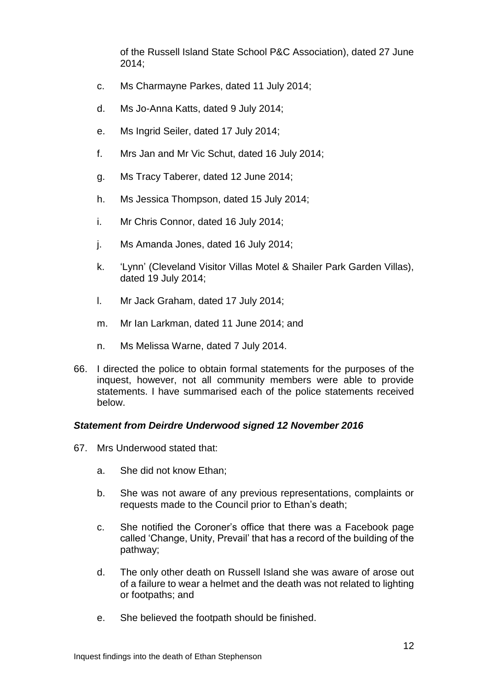of the Russell Island State School P&C Association), dated 27 June 2014;

- c. Ms Charmayne Parkes, dated 11 July 2014;
- d. Ms Jo-Anna Katts, dated 9 July 2014;
- e. Ms Ingrid Seiler, dated 17 July 2014;
- f. Mrs Jan and Mr Vic Schut, dated 16 July 2014;
- g. Ms Tracy Taberer, dated 12 June 2014;
- h. Ms Jessica Thompson, dated 15 July 2014;
- i. Mr Chris Connor, dated 16 July 2014;
- j. Ms Amanda Jones, dated 16 July 2014;
- k. 'Lynn' (Cleveland Visitor Villas Motel & Shailer Park Garden Villas), dated 19 July 2014;
- l. Mr Jack Graham, dated 17 July 2014;
- m. Mr Ian Larkman, dated 11 June 2014; and
- n. Ms Melissa Warne, dated 7 July 2014.
- 66. I directed the police to obtain formal statements for the purposes of the inquest, however, not all community members were able to provide statements. I have summarised each of the police statements received below.

## *Statement from Deirdre Underwood signed 12 November 2016*

- 67. Mrs Underwood stated that:
	- a. She did not know Ethan;
	- b. She was not aware of any previous representations, complaints or requests made to the Council prior to Ethan's death;
	- c. She notified the Coroner's office that there was a Facebook page called 'Change, Unity, Prevail' that has a record of the building of the pathway;
	- d. The only other death on Russell Island she was aware of arose out of a failure to wear a helmet and the death was not related to lighting or footpaths; and
	- e. She believed the footpath should be finished.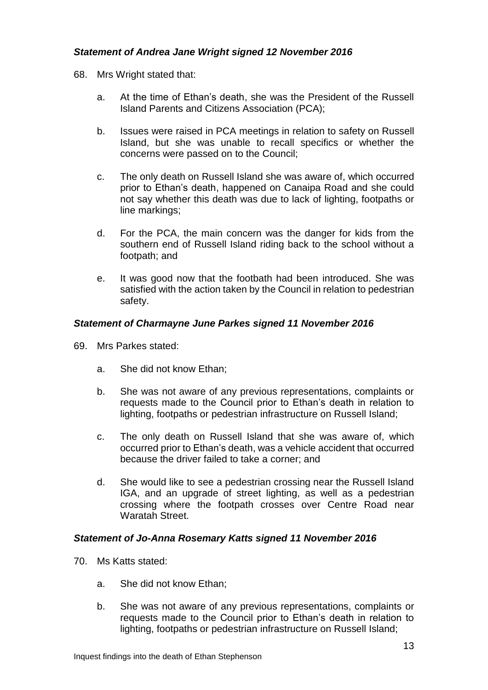# *Statement of Andrea Jane Wright signed 12 November 2016*

- 68. Mrs Wright stated that:
	- a. At the time of Ethan's death, she was the President of the Russell Island Parents and Citizens Association (PCA);
	- b. Issues were raised in PCA meetings in relation to safety on Russell Island, but she was unable to recall specifics or whether the concerns were passed on to the Council;
	- c. The only death on Russell Island she was aware of, which occurred prior to Ethan's death, happened on Canaipa Road and she could not say whether this death was due to lack of lighting, footpaths or line markings;
	- d. For the PCA, the main concern was the danger for kids from the southern end of Russell Island riding back to the school without a footpath; and
	- e. It was good now that the footbath had been introduced. She was satisfied with the action taken by the Council in relation to pedestrian safety.

## *Statement of Charmayne June Parkes signed 11 November 2016*

- 69. Mrs Parkes stated:
	- a. She did not know Ethan;
	- b. She was not aware of any previous representations, complaints or requests made to the Council prior to Ethan's death in relation to lighting, footpaths or pedestrian infrastructure on Russell Island;
	- c. The only death on Russell Island that she was aware of, which occurred prior to Ethan's death, was a vehicle accident that occurred because the driver failed to take a corner; and
	- d. She would like to see a pedestrian crossing near the Russell Island IGA, and an upgrade of street lighting, as well as a pedestrian crossing where the footpath crosses over Centre Road near Waratah Street.

#### *Statement of Jo-Anna Rosemary Katts signed 11 November 2016*

- 70. Ms Katts stated:
	- a. She did not know Ethan;
	- b. She was not aware of any previous representations, complaints or requests made to the Council prior to Ethan's death in relation to lighting, footpaths or pedestrian infrastructure on Russell Island;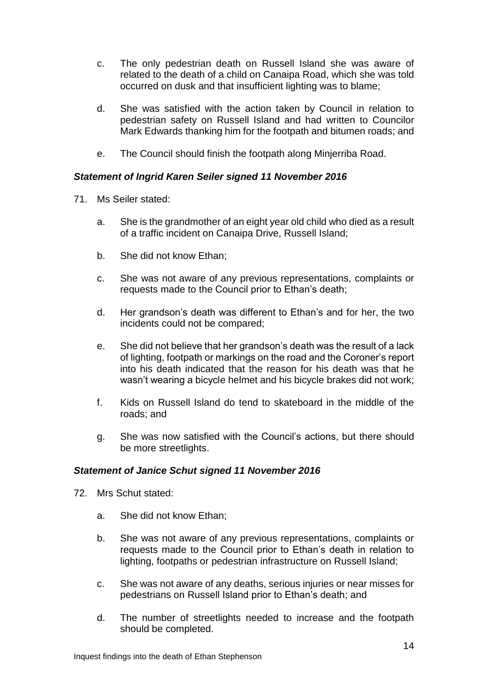- c. The only pedestrian death on Russell Island she was aware of related to the death of a child on Canaipa Road, which she was told occurred on dusk and that insufficient lighting was to blame;
- d. She was satisfied with the action taken by Council in relation to pedestrian safety on Russell Island and had written to Councilor Mark Edwards thanking him for the footpath and bitumen roads; and
- e. The Council should finish the footpath along Minjerriba Road.

## *Statement of Ingrid Karen Seiler signed 11 November 2016*

- 71. Ms Seiler stated:
	- a. She is the grandmother of an eight year old child who died as a result of a traffic incident on Canaipa Drive, Russell Island;
	- b. She did not know Ethan;
	- c. She was not aware of any previous representations, complaints or requests made to the Council prior to Ethan's death;
	- d. Her grandson's death was different to Ethan's and for her, the two incidents could not be compared;
	- e. She did not believe that her grandson's death was the result of a lack of lighting, footpath or markings on the road and the Coroner's report into his death indicated that the reason for his death was that he wasn't wearing a bicycle helmet and his bicycle brakes did not work;
	- f. Kids on Russell Island do tend to skateboard in the middle of the roads; and
	- g. She was now satisfied with the Council's actions, but there should be more streetlights.

## *Statement of Janice Schut signed 11 November 2016*

- 72. Mrs Schut stated:
	- a. She did not know Ethan;
	- b. She was not aware of any previous representations, complaints or requests made to the Council prior to Ethan's death in relation to lighting, footpaths or pedestrian infrastructure on Russell Island;
	- c. She was not aware of any deaths, serious injuries or near misses for pedestrians on Russell Island prior to Ethan's death; and
	- d. The number of streetlights needed to increase and the footpath should be completed.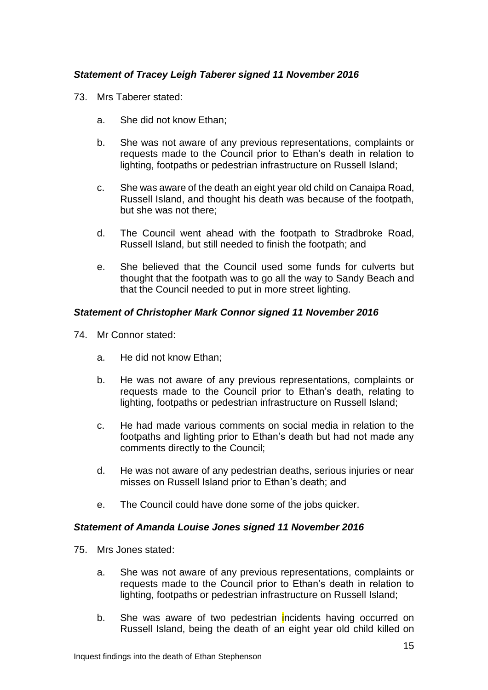# *Statement of Tracey Leigh Taberer signed 11 November 2016*

- 73. Mrs Taberer stated:
	- a. She did not know Ethan;
	- b. She was not aware of any previous representations, complaints or requests made to the Council prior to Ethan's death in relation to lighting, footpaths or pedestrian infrastructure on Russell Island;
	- c. She was aware of the death an eight year old child on Canaipa Road, Russell Island, and thought his death was because of the footpath, but she was not there;
	- d. The Council went ahead with the footpath to Stradbroke Road, Russell Island, but still needed to finish the footpath; and
	- e. She believed that the Council used some funds for culverts but thought that the footpath was to go all the way to Sandy Beach and that the Council needed to put in more street lighting.

## *Statement of Christopher Mark Connor signed 11 November 2016*

- 74. Mr Connor stated:
	- a. He did not know Ethan;
	- b. He was not aware of any previous representations, complaints or requests made to the Council prior to Ethan's death, relating to lighting, footpaths or pedestrian infrastructure on Russell Island;
	- c. He had made various comments on social media in relation to the footpaths and lighting prior to Ethan's death but had not made any comments directly to the Council;
	- d. He was not aware of any pedestrian deaths, serious injuries or near misses on Russell Island prior to Ethan's death; and
	- e. The Council could have done some of the jobs quicker.

#### *Statement of Amanda Louise Jones signed 11 November 2016*

- 75. Mrs Jones stated:
	- a. She was not aware of any previous representations, complaints or requests made to the Council prior to Ethan's death in relation to lighting, footpaths or pedestrian infrastructure on Russell Island;
	- b. She was aware of two pedestrian incidents having occurred on Russell Island, being the death of an eight year old child killed on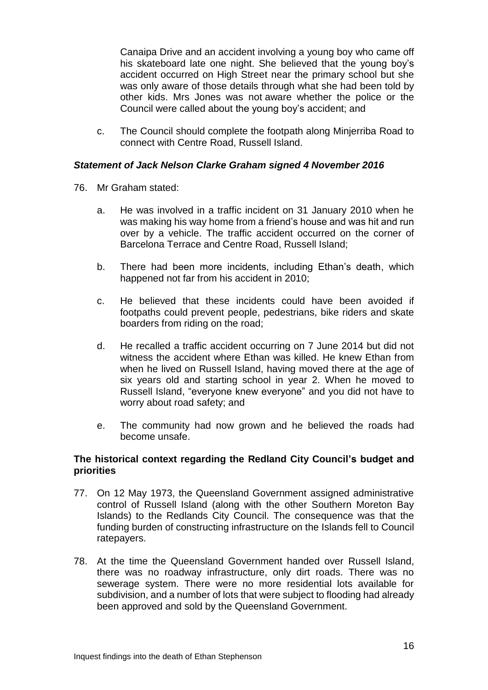Canaipa Drive and an accident involving a young boy who came off his skateboard late one night. She believed that the young boy's accident occurred on High Street near the primary school but she was only aware of those details through what she had been told by other kids. Mrs Jones was not aware whether the police or the Council were called about the young boy's accident; and

c. The Council should complete the footpath along Minjerriba Road to connect with Centre Road, Russell Island.

## *Statement of Jack Nelson Clarke Graham signed 4 November 2016*

- 76. Mr Graham stated:
	- a. He was involved in a traffic incident on 31 January 2010 when he was making his way home from a friend's house and was hit and run over by a vehicle. The traffic accident occurred on the corner of Barcelona Terrace and Centre Road, Russell Island;
	- b. There had been more incidents, including Ethan's death, which happened not far from his accident in 2010;
	- c. He believed that these incidents could have been avoided if footpaths could prevent people, pedestrians, bike riders and skate boarders from riding on the road;
	- d. He recalled a traffic accident occurring on 7 June 2014 but did not witness the accident where Ethan was killed. He knew Ethan from when he lived on Russell Island, having moved there at the age of six years old and starting school in year 2. When he moved to Russell Island, "everyone knew everyone" and you did not have to worry about road safety; and
	- e. The community had now grown and he believed the roads had become unsafe.

#### **The historical context regarding the Redland City Council's budget and priorities**

- 77. On 12 May 1973, the Queensland Government assigned administrative control of Russell Island (along with the other Southern Moreton Bay Islands) to the Redlands City Council. The consequence was that the funding burden of constructing infrastructure on the Islands fell to Council ratepayers.
- 78. At the time the Queensland Government handed over Russell Island, there was no roadway infrastructure, only dirt roads. There was no sewerage system. There were no more residential lots available for subdivision, and a number of lots that were subject to flooding had already been approved and sold by the Queensland Government.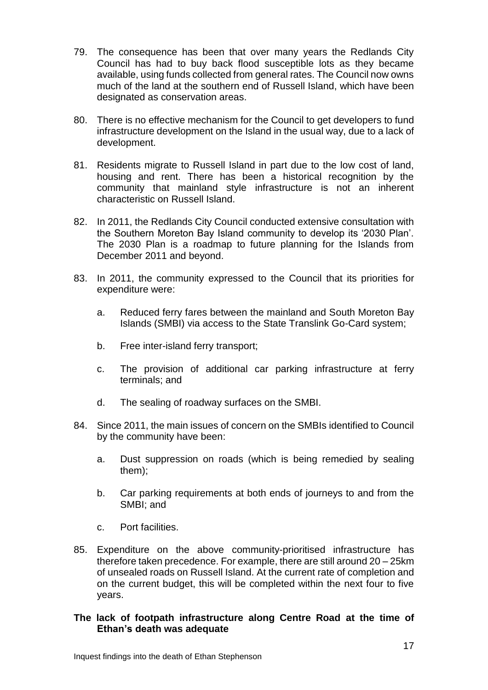- 79. The consequence has been that over many years the Redlands City Council has had to buy back flood susceptible lots as they became available, using funds collected from general rates. The Council now owns much of the land at the southern end of Russell Island, which have been designated as conservation areas.
- 80. There is no effective mechanism for the Council to get developers to fund infrastructure development on the Island in the usual way, due to a lack of development.
- 81. Residents migrate to Russell Island in part due to the low cost of land, housing and rent. There has been a historical recognition by the community that mainland style infrastructure is not an inherent characteristic on Russell Island.
- 82. In 2011, the Redlands City Council conducted extensive consultation with the Southern Moreton Bay Island community to develop its '2030 Plan'. The 2030 Plan is a roadmap to future planning for the Islands from December 2011 and beyond.
- 83. In 2011, the community expressed to the Council that its priorities for expenditure were:
	- a. Reduced ferry fares between the mainland and South Moreton Bay Islands (SMBI) via access to the State Translink Go-Card system;
	- b. Free inter-island ferry transport;
	- c. The provision of additional car parking infrastructure at ferry terminals; and
	- d. The sealing of roadway surfaces on the SMBI.
- 84. Since 2011, the main issues of concern on the SMBIs identified to Council by the community have been:
	- a. Dust suppression on roads (which is being remedied by sealing them);
	- b. Car parking requirements at both ends of journeys to and from the SMBI; and
	- c. Port facilities.
- 85. Expenditure on the above community-prioritised infrastructure has therefore taken precedence. For example, there are still around 20 – 25km of unsealed roads on Russell Island. At the current rate of completion and on the current budget, this will be completed within the next four to five years.

#### **The lack of footpath infrastructure along Centre Road at the time of Ethan's death was adequate**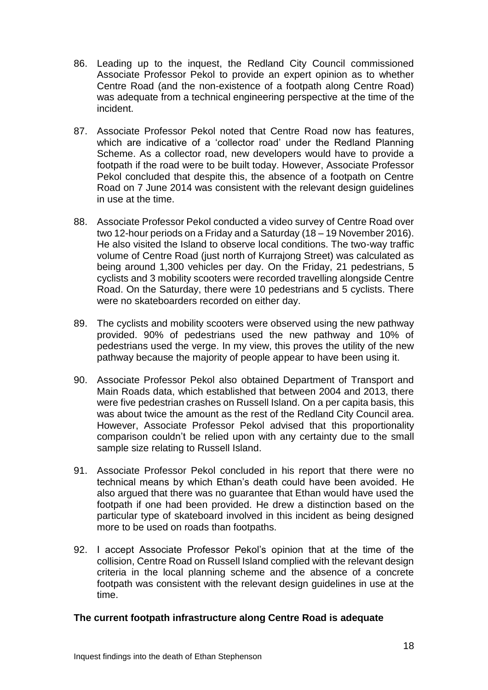- 86. Leading up to the inquest, the Redland City Council commissioned Associate Professor Pekol to provide an expert opinion as to whether Centre Road (and the non-existence of a footpath along Centre Road) was adequate from a technical engineering perspective at the time of the incident.
- 87. Associate Professor Pekol noted that Centre Road now has features, which are indicative of a 'collector road' under the Redland Planning Scheme. As a collector road, new developers would have to provide a footpath if the road were to be built today. However, Associate Professor Pekol concluded that despite this, the absence of a footpath on Centre Road on 7 June 2014 was consistent with the relevant design guidelines in use at the time.
- 88. Associate Professor Pekol conducted a video survey of Centre Road over two 12-hour periods on a Friday and a Saturday (18 – 19 November 2016). He also visited the Island to observe local conditions. The two-way traffic volume of Centre Road (just north of Kurrajong Street) was calculated as being around 1,300 vehicles per day. On the Friday, 21 pedestrians, 5 cyclists and 3 mobility scooters were recorded travelling alongside Centre Road. On the Saturday, there were 10 pedestrians and 5 cyclists. There were no skateboarders recorded on either day.
- 89. The cyclists and mobility scooters were observed using the new pathway provided. 90% of pedestrians used the new pathway and 10% of pedestrians used the verge. In my view, this proves the utility of the new pathway because the majority of people appear to have been using it.
- 90. Associate Professor Pekol also obtained Department of Transport and Main Roads data, which established that between 2004 and 2013, there were five pedestrian crashes on Russell Island. On a per capita basis, this was about twice the amount as the rest of the Redland City Council area. However, Associate Professor Pekol advised that this proportionality comparison couldn't be relied upon with any certainty due to the small sample size relating to Russell Island.
- 91. Associate Professor Pekol concluded in his report that there were no technical means by which Ethan's death could have been avoided. He also argued that there was no guarantee that Ethan would have used the footpath if one had been provided. He drew a distinction based on the particular type of skateboard involved in this incident as being designed more to be used on roads than footpaths.
- 92. I accept Associate Professor Pekol's opinion that at the time of the collision, Centre Road on Russell Island complied with the relevant design criteria in the local planning scheme and the absence of a concrete footpath was consistent with the relevant design guidelines in use at the time.

## **The current footpath infrastructure along Centre Road is adequate**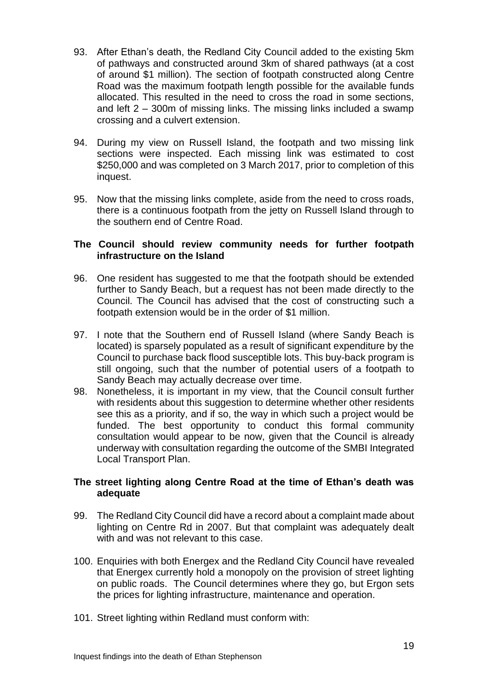- 93. After Ethan's death, the Redland City Council added to the existing 5km of pathways and constructed around 3km of shared pathways (at a cost of around \$1 million). The section of footpath constructed along Centre Road was the maximum footpath length possible for the available funds allocated. This resulted in the need to cross the road in some sections, and left 2 – 300m of missing links. The missing links included a swamp crossing and a culvert extension.
- 94. During my view on Russell Island, the footpath and two missing link sections were inspected. Each missing link was estimated to cost \$250,000 and was completed on 3 March 2017, prior to completion of this inquest.
- 95. Now that the missing links complete, aside from the need to cross roads, there is a continuous footpath from the jetty on Russell Island through to the southern end of Centre Road.

## **The Council should review community needs for further footpath infrastructure on the Island**

- 96. One resident has suggested to me that the footpath should be extended further to Sandy Beach, but a request has not been made directly to the Council. The Council has advised that the cost of constructing such a footpath extension would be in the order of \$1 million.
- 97. I note that the Southern end of Russell Island (where Sandy Beach is located) is sparsely populated as a result of significant expenditure by the Council to purchase back flood susceptible lots. This buy-back program is still ongoing, such that the number of potential users of a footpath to Sandy Beach may actually decrease over time.
- 98. Nonetheless, it is important in my view, that the Council consult further with residents about this suggestion to determine whether other residents see this as a priority, and if so, the way in which such a project would be funded. The best opportunity to conduct this formal community consultation would appear to be now, given that the Council is already underway with consultation regarding the outcome of the SMBI Integrated Local Transport Plan.

## **The street lighting along Centre Road at the time of Ethan's death was adequate**

- 99. The Redland City Council did have a record about a complaint made about lighting on Centre Rd in 2007. But that complaint was adequately dealt with and was not relevant to this case.
- 100. Enquiries with both Energex and the Redland City Council have revealed that Energex currently hold a monopoly on the provision of street lighting on public roads. The Council determines where they go, but Ergon sets the prices for lighting infrastructure, maintenance and operation.
- 101. Street lighting within Redland must conform with: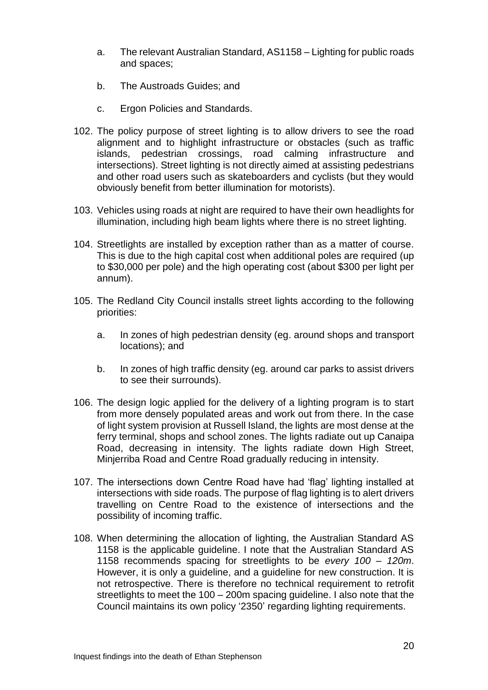- a. The relevant Australian Standard, AS1158 Lighting for public roads and spaces;
- b. The Austroads Guides; and
- c. Ergon Policies and Standards.
- 102. The policy purpose of street lighting is to allow drivers to see the road alignment and to highlight infrastructure or obstacles (such as traffic islands, pedestrian crossings, road calming infrastructure and intersections). Street lighting is not directly aimed at assisting pedestrians and other road users such as skateboarders and cyclists (but they would obviously benefit from better illumination for motorists).
- 103. Vehicles using roads at night are required to have their own headlights for illumination, including high beam lights where there is no street lighting.
- 104. Streetlights are installed by exception rather than as a matter of course. This is due to the high capital cost when additional poles are required (up to \$30,000 per pole) and the high operating cost (about \$300 per light per annum).
- 105. The Redland City Council installs street lights according to the following priorities:
	- a. In zones of high pedestrian density (eg. around shops and transport locations); and
	- b. In zones of high traffic density (eg. around car parks to assist drivers to see their surrounds).
- 106. The design logic applied for the delivery of a lighting program is to start from more densely populated areas and work out from there. In the case of light system provision at Russell Island, the lights are most dense at the ferry terminal, shops and school zones. The lights radiate out up Canaipa Road, decreasing in intensity. The lights radiate down High Street, Minjerriba Road and Centre Road gradually reducing in intensity.
- 107. The intersections down Centre Road have had 'flag' lighting installed at intersections with side roads. The purpose of flag lighting is to alert drivers travelling on Centre Road to the existence of intersections and the possibility of incoming traffic.
- 108. When determining the allocation of lighting, the Australian Standard AS 1158 is the applicable guideline. I note that the Australian Standard AS 1158 recommends spacing for streetlights to be *every 100 – 120m*. However, it is only a guideline, and a guideline for new construction. It is not retrospective. There is therefore no technical requirement to retrofit streetlights to meet the 100 – 200m spacing guideline. I also note that the Council maintains its own policy '2350' regarding lighting requirements.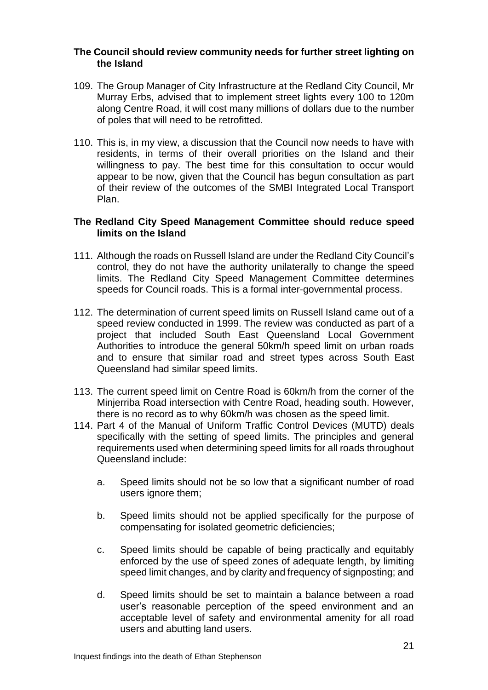#### **The Council should review community needs for further street lighting on the Island**

- 109. The Group Manager of City Infrastructure at the Redland City Council, Mr Murray Erbs, advised that to implement street lights every 100 to 120m along Centre Road, it will cost many millions of dollars due to the number of poles that will need to be retrofitted.
- 110. This is, in my view, a discussion that the Council now needs to have with residents, in terms of their overall priorities on the Island and their willingness to pay. The best time for this consultation to occur would appear to be now, given that the Council has begun consultation as part of their review of the outcomes of the SMBI Integrated Local Transport Plan.

## **The Redland City Speed Management Committee should reduce speed limits on the Island**

- 111. Although the roads on Russell Island are under the Redland City Council's control, they do not have the authority unilaterally to change the speed limits. The Redland City Speed Management Committee determines speeds for Council roads. This is a formal inter-governmental process.
- 112. The determination of current speed limits on Russell Island came out of a speed review conducted in 1999. The review was conducted as part of a project that included South East Queensland Local Government Authorities to introduce the general 50km/h speed limit on urban roads and to ensure that similar road and street types across South East Queensland had similar speed limits.
- 113. The current speed limit on Centre Road is 60km/h from the corner of the Minjerriba Road intersection with Centre Road, heading south. However, there is no record as to why 60km/h was chosen as the speed limit.
- 114. Part 4 of the Manual of Uniform Traffic Control Devices (MUTD) deals specifically with the setting of speed limits. The principles and general requirements used when determining speed limits for all roads throughout Queensland include:
	- a. Speed limits should not be so low that a significant number of road users ignore them;
	- b. Speed limits should not be applied specifically for the purpose of compensating for isolated geometric deficiencies;
	- c. Speed limits should be capable of being practically and equitably enforced by the use of speed zones of adequate length, by limiting speed limit changes, and by clarity and frequency of signposting; and
	- d. Speed limits should be set to maintain a balance between a road user's reasonable perception of the speed environment and an acceptable level of safety and environmental amenity for all road users and abutting land users.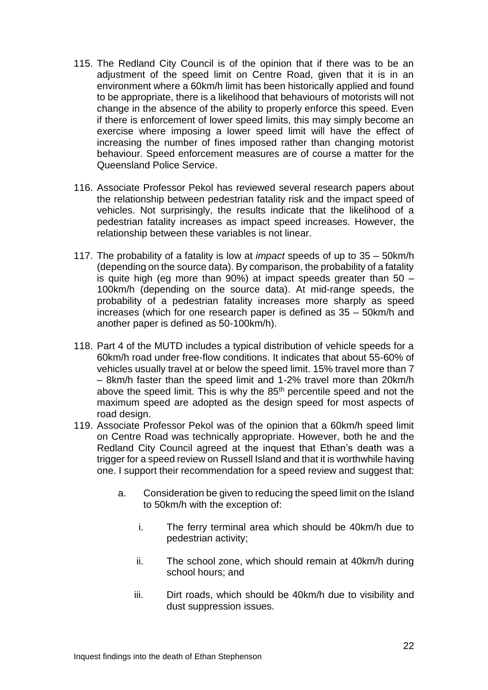- 115. The Redland City Council is of the opinion that if there was to be an adjustment of the speed limit on Centre Road, given that it is in an environment where a 60km/h limit has been historically applied and found to be appropriate, there is a likelihood that behaviours of motorists will not change in the absence of the ability to properly enforce this speed. Even if there is enforcement of lower speed limits, this may simply become an exercise where imposing a lower speed limit will have the effect of increasing the number of fines imposed rather than changing motorist behaviour. Speed enforcement measures are of course a matter for the Queensland Police Service.
- 116. Associate Professor Pekol has reviewed several research papers about the relationship between pedestrian fatality risk and the impact speed of vehicles. Not surprisingly, the results indicate that the likelihood of a pedestrian fatality increases as impact speed increases. However, the relationship between these variables is not linear.
- 117. The probability of a fatality is low at *impact* speeds of up to 35 50km/h (depending on the source data). By comparison, the probability of a fatality is quite high (eg more than 90%) at impact speeds greater than  $50 -$ 100km/h (depending on the source data). At mid-range speeds, the probability of a pedestrian fatality increases more sharply as speed increases (which for one research paper is defined as 35 – 50km/h and another paper is defined as 50-100km/h).
- 118. Part 4 of the MUTD includes a typical distribution of vehicle speeds for a 60km/h road under free-flow conditions. It indicates that about 55-60% of vehicles usually travel at or below the speed limit. 15% travel more than 7 – 8km/h faster than the speed limit and 1-2% travel more than 20km/h above the speed limit. This is why the 85<sup>th</sup> percentile speed and not the maximum speed are adopted as the design speed for most aspects of road design.
- 119. Associate Professor Pekol was of the opinion that a 60km/h speed limit on Centre Road was technically appropriate. However, both he and the Redland City Council agreed at the inquest that Ethan's death was a trigger for a speed review on Russell Island and that it is worthwhile having one. I support their recommendation for a speed review and suggest that:
	- a. Consideration be given to reducing the speed limit on the Island to 50km/h with the exception of:
		- i. The ferry terminal area which should be 40km/h due to pedestrian activity;
		- ii. The school zone, which should remain at 40km/h during school hours; and
		- iii. Dirt roads, which should be 40km/h due to visibility and dust suppression issues.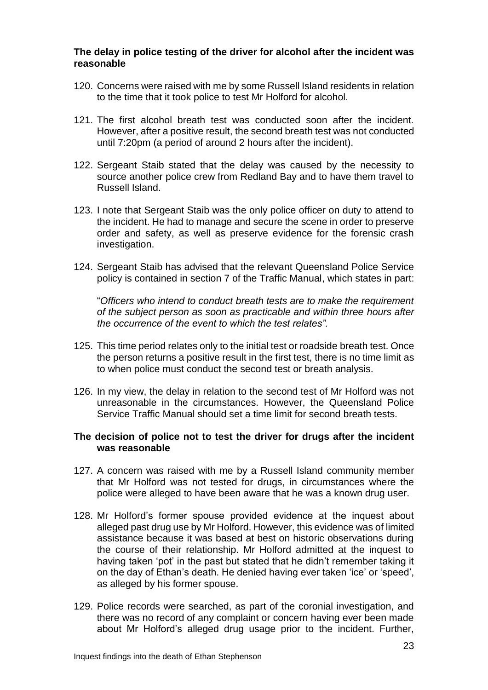#### **The delay in police testing of the driver for alcohol after the incident was reasonable**

- 120. Concerns were raised with me by some Russell Island residents in relation to the time that it took police to test Mr Holford for alcohol.
- 121. The first alcohol breath test was conducted soon after the incident. However, after a positive result, the second breath test was not conducted until 7:20pm (a period of around 2 hours after the incident).
- 122. Sergeant Staib stated that the delay was caused by the necessity to source another police crew from Redland Bay and to have them travel to Russell Island.
- 123. I note that Sergeant Staib was the only police officer on duty to attend to the incident. He had to manage and secure the scene in order to preserve order and safety, as well as preserve evidence for the forensic crash investigation.
- 124. Sergeant Staib has advised that the relevant Queensland Police Service policy is contained in section 7 of the Traffic Manual, which states in part:

"*Officers who intend to conduct breath tests are to make the requirement of the subject person as soon as practicable and within three hours after the occurrence of the event to which the test relates".*

- 125. This time period relates only to the initial test or roadside breath test. Once the person returns a positive result in the first test, there is no time limit as to when police must conduct the second test or breath analysis.
- 126. In my view, the delay in relation to the second test of Mr Holford was not unreasonable in the circumstances. However, the Queensland Police Service Traffic Manual should set a time limit for second breath tests.

#### **The decision of police not to test the driver for drugs after the incident was reasonable**

- 127. A concern was raised with me by a Russell Island community member that Mr Holford was not tested for drugs, in circumstances where the police were alleged to have been aware that he was a known drug user.
- 128. Mr Holford's former spouse provided evidence at the inquest about alleged past drug use by Mr Holford. However, this evidence was of limited assistance because it was based at best on historic observations during the course of their relationship. Mr Holford admitted at the inquest to having taken 'pot' in the past but stated that he didn't remember taking it on the day of Ethan's death. He denied having ever taken 'ice' or 'speed', as alleged by his former spouse.
- 129. Police records were searched, as part of the coronial investigation, and there was no record of any complaint or concern having ever been made about Mr Holford's alleged drug usage prior to the incident. Further,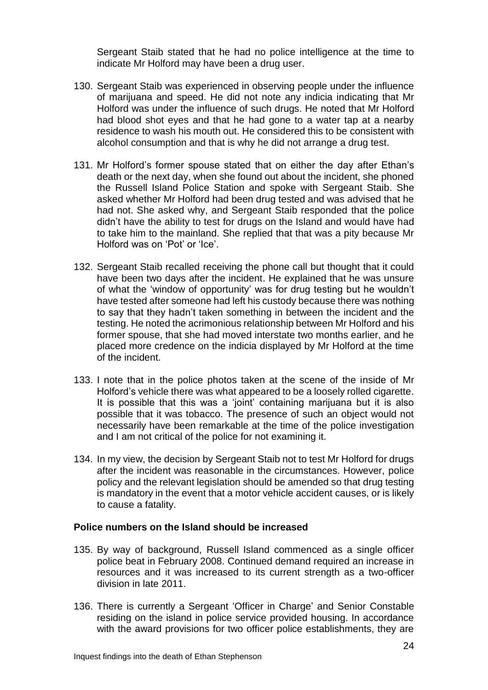Sergeant Staib stated that he had no police intelligence at the time to indicate Mr Holford may have been a drug user.

- 130. Sergeant Staib was experienced in observing people under the influence of marijuana and speed. He did not note any indicia indicating that Mr Holford was under the influence of such drugs. He noted that Mr Holford had blood shot eyes and that he had gone to a water tap at a nearby residence to wash his mouth out. He considered this to be consistent with alcohol consumption and that is why he did not arrange a drug test.
- 131. Mr Holford's former spouse stated that on either the day after Ethan's death or the next day, when she found out about the incident, she phoned the Russell Island Police Station and spoke with Sergeant Staib. She asked whether Mr Holford had been drug tested and was advised that he had not. She asked why, and Sergeant Staib responded that the police didn't have the ability to test for drugs on the Island and would have had to take him to the mainland. She replied that that was a pity because Mr Holford was on 'Pot' or 'Ice'.
- 132. Sergeant Staib recalled receiving the phone call but thought that it could have been two days after the incident. He explained that he was unsure of what the 'window of opportunity' was for drug testing but he wouldn't have tested after someone had left his custody because there was nothing to say that they hadn't taken something in between the incident and the testing. He noted the acrimonious relationship between Mr Holford and his former spouse, that she had moved interstate two months earlier, and he placed more credence on the indicia displayed by Mr Holford at the time of the incident.
- 133. I note that in the police photos taken at the scene of the inside of Mr Holford's vehicle there was what appeared to be a loosely rolled cigarette. It is possible that this was a 'joint' containing marijuana but it is also possible that it was tobacco. The presence of such an object would not necessarily have been remarkable at the time of the police investigation and I am not critical of the police for not examining it.
- 134. In my view, the decision by Sergeant Staib not to test Mr Holford for drugs after the incident was reasonable in the circumstances. However, police policy and the relevant legislation should be amended so that drug testing is mandatory in the event that a motor vehicle accident causes, or is likely to cause a fatality.

## **Police numbers on the Island should be increased**

- 135. By way of background, Russell Island commenced as a single officer police beat in February 2008. Continued demand required an increase in resources and it was increased to its current strength as a two-officer division in late 2011.
- 136. There is currently a Sergeant 'Officer in Charge' and Senior Constable residing on the island in police service provided housing. In accordance with the award provisions for two officer police establishments, they are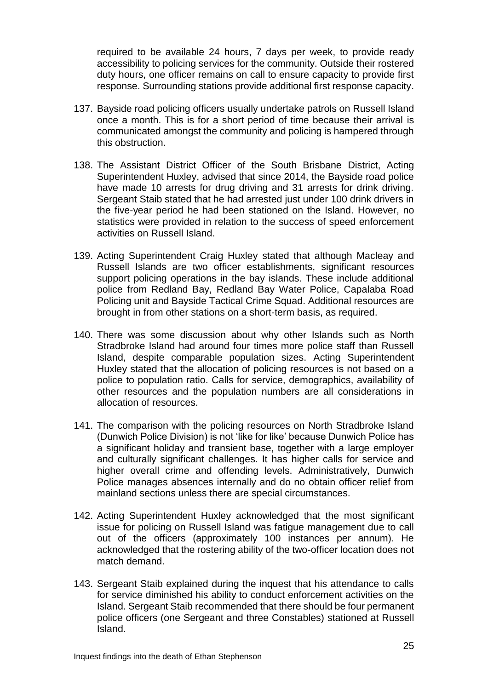required to be available 24 hours, 7 days per week, to provide ready accessibility to policing services for the community. Outside their rostered duty hours, one officer remains on call to ensure capacity to provide first response. Surrounding stations provide additional first response capacity.

- 137. Bayside road policing officers usually undertake patrols on Russell Island once a month. This is for a short period of time because their arrival is communicated amongst the community and policing is hampered through this obstruction.
- 138. The Assistant District Officer of the South Brisbane District, Acting Superintendent Huxley, advised that since 2014, the Bayside road police have made 10 arrests for drug driving and 31 arrests for drink driving. Sergeant Staib stated that he had arrested just under 100 drink drivers in the five-year period he had been stationed on the Island. However, no statistics were provided in relation to the success of speed enforcement activities on Russell Island.
- 139. Acting Superintendent Craig Huxley stated that although Macleay and Russell Islands are two officer establishments, significant resources support policing operations in the bay islands. These include additional police from Redland Bay, Redland Bay Water Police, Capalaba Road Policing unit and Bayside Tactical Crime Squad. Additional resources are brought in from other stations on a short-term basis, as required.
- 140. There was some discussion about why other Islands such as North Stradbroke Island had around four times more police staff than Russell Island, despite comparable population sizes. Acting Superintendent Huxley stated that the allocation of policing resources is not based on a police to population ratio. Calls for service, demographics, availability of other resources and the population numbers are all considerations in allocation of resources.
- 141. The comparison with the policing resources on North Stradbroke Island (Dunwich Police Division) is not 'like for like' because Dunwich Police has a significant holiday and transient base, together with a large employer and culturally significant challenges. It has higher calls for service and higher overall crime and offending levels. Administratively, Dunwich Police manages absences internally and do no obtain officer relief from mainland sections unless there are special circumstances.
- 142. Acting Superintendent Huxley acknowledged that the most significant issue for policing on Russell Island was fatigue management due to call out of the officers (approximately 100 instances per annum). He acknowledged that the rostering ability of the two-officer location does not match demand.
- 143. Sergeant Staib explained during the inquest that his attendance to calls for service diminished his ability to conduct enforcement activities on the Island. Sergeant Staib recommended that there should be four permanent police officers (one Sergeant and three Constables) stationed at Russell Island.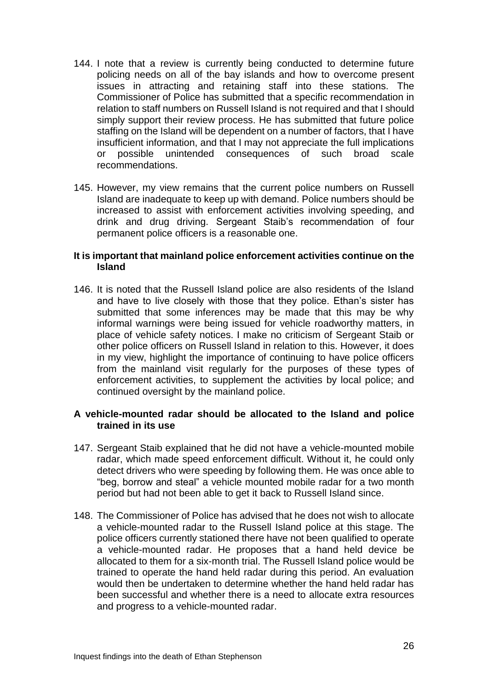- 144. I note that a review is currently being conducted to determine future policing needs on all of the bay islands and how to overcome present issues in attracting and retaining staff into these stations. The Commissioner of Police has submitted that a specific recommendation in relation to staff numbers on Russell Island is not required and that I should simply support their review process. He has submitted that future police staffing on the Island will be dependent on a number of factors, that I have insufficient information, and that I may not appreciate the full implications or possible unintended consequences of such broad scale recommendations.
- 145. However, my view remains that the current police numbers on Russell Island are inadequate to keep up with demand. Police numbers should be increased to assist with enforcement activities involving speeding, and drink and drug driving. Sergeant Staib's recommendation of four permanent police officers is a reasonable one.

#### **It is important that mainland police enforcement activities continue on the Island**

146. It is noted that the Russell Island police are also residents of the Island and have to live closely with those that they police. Ethan's sister has submitted that some inferences may be made that this may be why informal warnings were being issued for vehicle roadworthy matters, in place of vehicle safety notices. I make no criticism of Sergeant Staib or other police officers on Russell Island in relation to this. However, it does in my view, highlight the importance of continuing to have police officers from the mainland visit regularly for the purposes of these types of enforcement activities, to supplement the activities by local police; and continued oversight by the mainland police.

## **A vehicle-mounted radar should be allocated to the Island and police trained in its use**

- 147. Sergeant Staib explained that he did not have a vehicle-mounted mobile radar, which made speed enforcement difficult. Without it, he could only detect drivers who were speeding by following them. He was once able to "beg, borrow and steal" a vehicle mounted mobile radar for a two month period but had not been able to get it back to Russell Island since.
- 148. The Commissioner of Police has advised that he does not wish to allocate a vehicle-mounted radar to the Russell Island police at this stage. The police officers currently stationed there have not been qualified to operate a vehicle-mounted radar. He proposes that a hand held device be allocated to them for a six-month trial. The Russell Island police would be trained to operate the hand held radar during this period. An evaluation would then be undertaken to determine whether the hand held radar has been successful and whether there is a need to allocate extra resources and progress to a vehicle-mounted radar.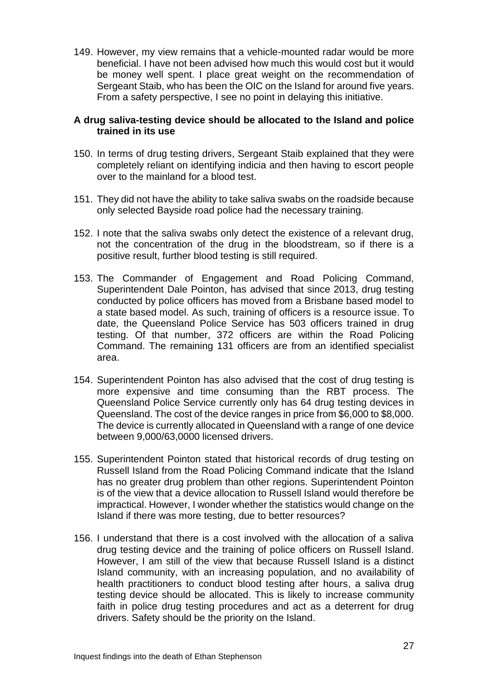149. However, my view remains that a vehicle-mounted radar would be more beneficial. I have not been advised how much this would cost but it would be money well spent. I place great weight on the recommendation of Sergeant Staib, who has been the OIC on the Island for around five years. From a safety perspective, I see no point in delaying this initiative.

#### **A drug saliva-testing device should be allocated to the Island and police trained in its use**

- 150. In terms of drug testing drivers, Sergeant Staib explained that they were completely reliant on identifying indicia and then having to escort people over to the mainland for a blood test.
- 151. They did not have the ability to take saliva swabs on the roadside because only selected Bayside road police had the necessary training.
- 152. I note that the saliva swabs only detect the existence of a relevant drug, not the concentration of the drug in the bloodstream, so if there is a positive result, further blood testing is still required.
- 153. The Commander of Engagement and Road Policing Command, Superintendent Dale Pointon, has advised that since 2013, drug testing conducted by police officers has moved from a Brisbane based model to a state based model. As such, training of officers is a resource issue. To date, the Queensland Police Service has 503 officers trained in drug testing. Of that number, 372 officers are within the Road Policing Command. The remaining 131 officers are from an identified specialist area.
- 154. Superintendent Pointon has also advised that the cost of drug testing is more expensive and time consuming than the RBT process. The Queensland Police Service currently only has 64 drug testing devices in Queensland. The cost of the device ranges in price from \$6,000 to \$8,000. The device is currently allocated in Queensland with a range of one device between 9,000/63,0000 licensed drivers.
- 155. Superintendent Pointon stated that historical records of drug testing on Russell Island from the Road Policing Command indicate that the Island has no greater drug problem than other regions. Superintendent Pointon is of the view that a device allocation to Russell Island would therefore be impractical. However, I wonder whether the statistics would change on the Island if there was more testing, due to better resources?
- 156. I understand that there is a cost involved with the allocation of a saliva drug testing device and the training of police officers on Russell Island. However, I am still of the view that because Russell Island is a distinct Island community, with an increasing population, and no availability of health practitioners to conduct blood testing after hours, a saliva drug testing device should be allocated. This is likely to increase community faith in police drug testing procedures and act as a deterrent for drug drivers. Safety should be the priority on the Island.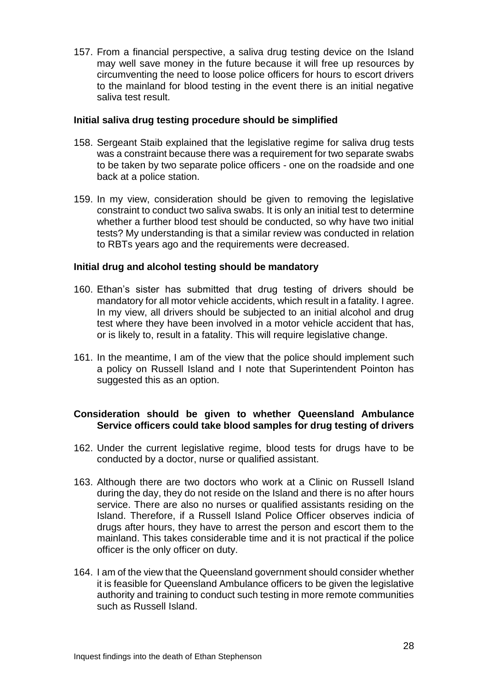157. From a financial perspective, a saliva drug testing device on the Island may well save money in the future because it will free up resources by circumventing the need to loose police officers for hours to escort drivers to the mainland for blood testing in the event there is an initial negative saliva test result.

#### **Initial saliva drug testing procedure should be simplified**

- 158. Sergeant Staib explained that the legislative regime for saliva drug tests was a constraint because there was a requirement for two separate swabs to be taken by two separate police officers - one on the roadside and one back at a police station.
- 159. In my view, consideration should be given to removing the legislative constraint to conduct two saliva swabs. It is only an initial test to determine whether a further blood test should be conducted, so why have two initial tests? My understanding is that a similar review was conducted in relation to RBTs years ago and the requirements were decreased.

#### **Initial drug and alcohol testing should be mandatory**

- 160. Ethan's sister has submitted that drug testing of drivers should be mandatory for all motor vehicle accidents, which result in a fatality. I agree. In my view, all drivers should be subjected to an initial alcohol and drug test where they have been involved in a motor vehicle accident that has, or is likely to, result in a fatality. This will require legislative change.
- 161. In the meantime, I am of the view that the police should implement such a policy on Russell Island and I note that Superintendent Pointon has suggested this as an option.

## **Consideration should be given to whether Queensland Ambulance Service officers could take blood samples for drug testing of drivers**

- 162. Under the current legislative regime, blood tests for drugs have to be conducted by a doctor, nurse or qualified assistant.
- 163. Although there are two doctors who work at a Clinic on Russell Island during the day, they do not reside on the Island and there is no after hours service. There are also no nurses or qualified assistants residing on the Island. Therefore, if a Russell Island Police Officer observes indicia of drugs after hours, they have to arrest the person and escort them to the mainland. This takes considerable time and it is not practical if the police officer is the only officer on duty.
- 164. I am of the view that the Queensland government should consider whether it is feasible for Queensland Ambulance officers to be given the legislative authority and training to conduct such testing in more remote communities such as Russell Island.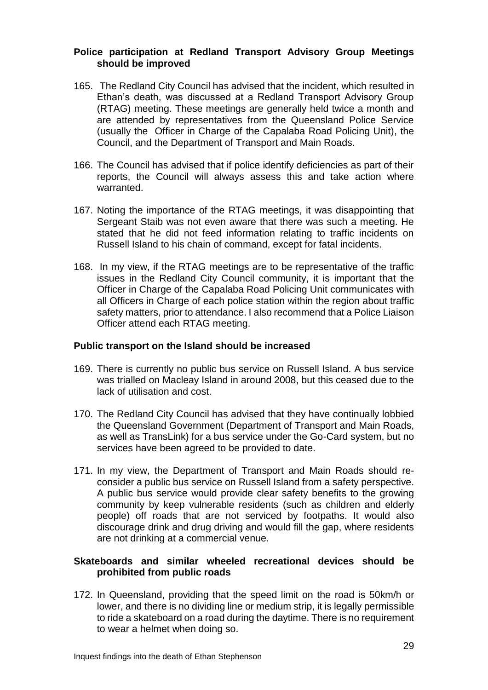#### **Police participation at Redland Transport Advisory Group Meetings should be improved**

- 165. The Redland City Council has advised that the incident, which resulted in Ethan's death, was discussed at a Redland Transport Advisory Group (RTAG) meeting. These meetings are generally held twice a month and are attended by representatives from the Queensland Police Service (usually the Officer in Charge of the Capalaba Road Policing Unit), the Council, and the Department of Transport and Main Roads.
- 166. The Council has advised that if police identify deficiencies as part of their reports, the Council will always assess this and take action where warranted.
- 167. Noting the importance of the RTAG meetings, it was disappointing that Sergeant Staib was not even aware that there was such a meeting. He stated that he did not feed information relating to traffic incidents on Russell Island to his chain of command, except for fatal incidents.
- 168. In my view, if the RTAG meetings are to be representative of the traffic issues in the Redland City Council community, it is important that the Officer in Charge of the Capalaba Road Policing Unit communicates with all Officers in Charge of each police station within the region about traffic safety matters, prior to attendance. I also recommend that a Police Liaison Officer attend each RTAG meeting.

#### **Public transport on the Island should be increased**

- 169. There is currently no public bus service on Russell Island. A bus service was trialled on Macleay Island in around 2008, but this ceased due to the lack of utilisation and cost.
- 170. The Redland City Council has advised that they have continually lobbied the Queensland Government (Department of Transport and Main Roads, as well as TransLink) for a bus service under the Go-Card system, but no services have been agreed to be provided to date.
- 171. In my view, the Department of Transport and Main Roads should reconsider a public bus service on Russell Island from a safety perspective. A public bus service would provide clear safety benefits to the growing community by keep vulnerable residents (such as children and elderly people) off roads that are not serviced by footpaths. It would also discourage drink and drug driving and would fill the gap, where residents are not drinking at a commercial venue.

## **Skateboards and similar wheeled recreational devices should be prohibited from public roads**

172. In Queensland, providing that the speed limit on the road is 50km/h or lower, and there is no dividing line or medium strip, it is legally permissible to ride a skateboard on a road during the daytime. There is no requirement to wear a helmet when doing so.